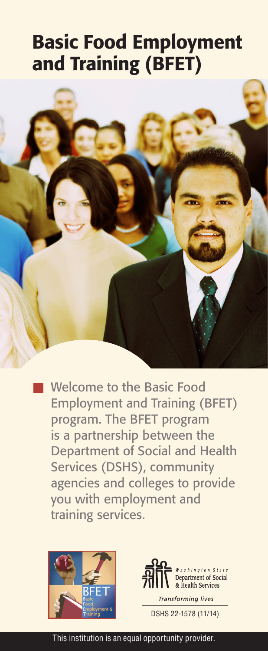# Basic Food Employment and Training (BFET)



Welcome to the Basic Food Employment and Training (BFET) program. The BFET program is a partnership between the Department of Social and Health Services (DSHS), community agencies and colleges to provide you with employment and training services.





This institution is an equal opportunity provider.